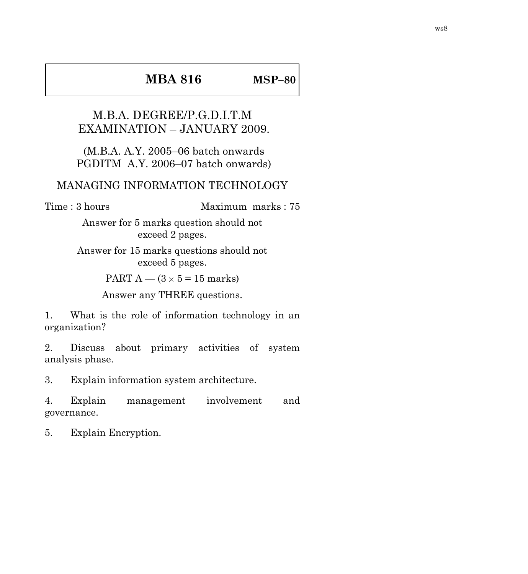## **MBA 816 MSP–80**

## M.B.A. DEGREE/P.G.D.I.T.M EXAMINATION – JANUARY 2009.

(M.B.A. A.Y. 2005–06 batch onwards PGDITM A.Y. 2006–07 batch onwards)

## MANAGING INFORMATION TECHNOLOGY

Time : 3 hours Maximum marks : 75

Answer for 5 marks question should not exceed 2 pages.

Answer for 15 marks questions should not exceed 5 pages.

PART  $A - (3 \times 5 = 15$  marks)

Answer any THREE questions.

1. What is the role of information technology in an organization?

2. Discuss about primary activities of system analysis phase.

3. Explain information system architecture.

4. Explain management involvement and governance.

5. Explain Encryption.